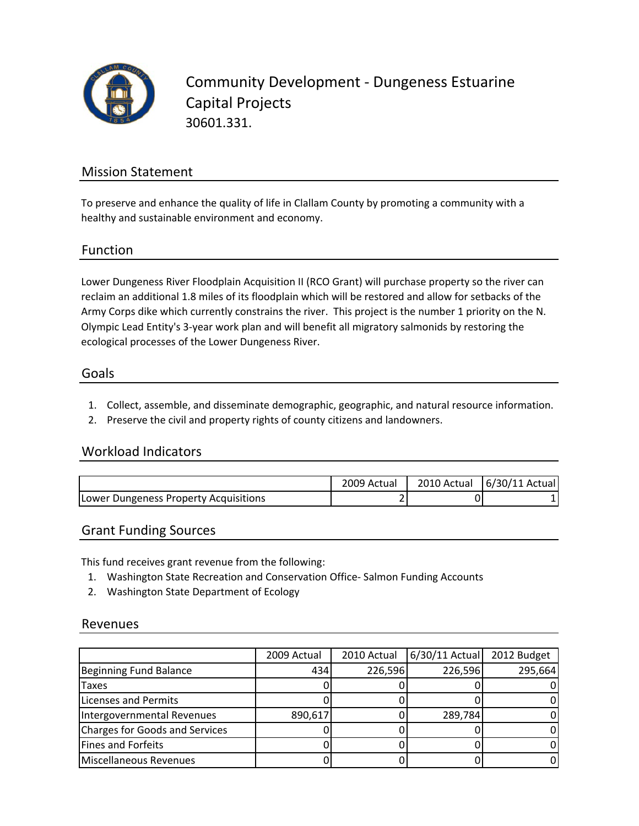

Community Development ‐ Dungeness Estuarine Capital Projects 30601.331.

## Mission Statement

To preserve and enhance the quality of life in Clallam County by promoting a community with a healthy and sustainable environment and economy.

### Function

Lower Dungeness River Floodplain Acquisition II (RCO Grant) will purchase property so the river can reclaim an additional 1.8 miles of its floodplain which will be restored and allow for setbacks of the Army Corps dike which currently constrains the river. This project is the number 1 priority on the N. Olympic Lead Entity's 3‐year work plan and will benefit all migratory salmonids by restoring the ecological processes of the Lower Dungeness River.

#### Goals

- 1. Collect, assemble, and disseminate demographic, geographic, and natural resource information.
- 2. Preserve the civil and property rights of county citizens and landowners.

### Workload Indicators

|                                       | 2009 Actual | 2010 Actual   6/30/11 Actual |
|---------------------------------------|-------------|------------------------------|
| Lower Dungeness Property Acquisitions |             |                              |

### Grant Funding Sources

This fund receives grant revenue from the following:

- 1. Washington State Recreation and Conservation Office‐ Salmon Funding Accounts
- 2. Washington State Department of Ecology

#### Revenues

|                                       | 2009 Actual | 2010 Actual | $6/30/11$ Actual | 2012 Budget |
|---------------------------------------|-------------|-------------|------------------|-------------|
| <b>Beginning Fund Balance</b>         | 434         | 226,596     | 226,596          | 295,664     |
| Taxes                                 |             |             |                  |             |
| Licenses and Permits                  |             |             |                  |             |
| Intergovernmental Revenues            | 890,617     |             | 289,784          |             |
| <b>Charges for Goods and Services</b> |             |             |                  |             |
| <b>Fines and Forfeits</b>             |             |             |                  |             |
| Miscellaneous Revenues                |             |             |                  |             |